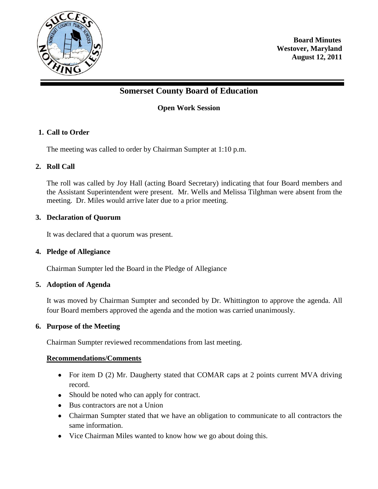

**Board Minutes Westover, Maryland August 12, 2011**

# **Somerset County Board of Education**

## **Open Work Session**

## **1. Call to Order**

The meeting was called to order by Chairman Sumpter at 1:10 p.m.

## **2. Roll Call**

The roll was called by Joy Hall (acting Board Secretary) indicating that four Board members and the Assistant Superintendent were present. Mr. Wells and Melissa Tilghman were absent from the meeting. Dr. Miles would arrive later due to a prior meeting.

#### **3. Declaration of Quorum**

It was declared that a quorum was present.

#### **4. Pledge of Allegiance**

Chairman Sumpter led the Board in the Pledge of Allegiance

#### **5. Adoption of Agenda**

It was moved by Chairman Sumpter and seconded by Dr. Whittington to approve the agenda. All four Board members approved the agenda and the motion was carried unanimously.

#### **6. Purpose of the Meeting**

Chairman Sumpter reviewed recommendations from last meeting.

#### **Recommendations/Comments**

- For item D (2) Mr. Daugherty stated that COMAR caps at 2 points current MVA driving record.
- Should be noted who can apply for contract.
- Bus contractors are not a Union
- Chairman Sumpter stated that we have an obligation to communicate to all contractors the same information.
- Vice Chairman Miles wanted to know how we go about doing this.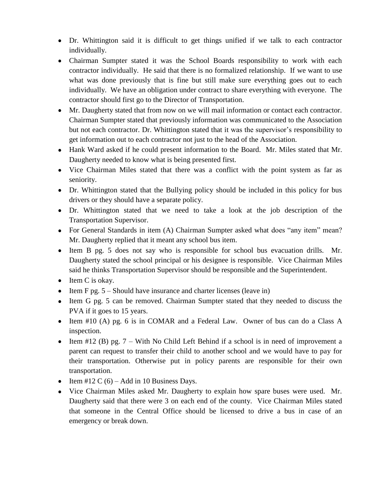- Dr. Whittington said it is difficult to get things unified if we talk to each contractor individually.
- Chairman Sumpter stated it was the School Boards responsibility to work with each contractor individually. He said that there is no formalized relationship. If we want to use what was done previously that is fine but still make sure everything goes out to each individually. We have an obligation under contract to share everything with everyone. The contractor should first go to the Director of Transportation.
- Mr. Daugherty stated that from now on we will mail information or contact each contractor. Chairman Sumpter stated that previously information was communicated to the Association but not each contractor. Dr. Whittington stated that it was the supervisor's responsibility to get information out to each contractor not just to the head of the Association.
- Hank Ward asked if he could present information to the Board. Mr. Miles stated that Mr. Daugherty needed to know what is being presented first.
- Vice Chairman Miles stated that there was a conflict with the point system as far as seniority.
- Dr. Whittington stated that the Bullying policy should be included in this policy for bus drivers or they should have a separate policy.
- Dr. Whittington stated that we need to take a look at the job description of the Transportation Supervisor.
- For General Standards in item (A) Chairman Sumpter asked what does "any item" mean? Mr. Daugherty replied that it meant any school bus item.
- Item B pg. 5 does not say who is responsible for school bus evacuation drills. Mr. Daugherty stated the school principal or his designee is responsible. Vice Chairman Miles said he thinks Transportation Supervisor should be responsible and the Superintendent.
- $\bullet$  Item C is okay.
- Item F pg.  $5 -$ Should have insurance and charter licenses (leave in)
- Item G pg. 5 can be removed. Chairman Sumpter stated that they needed to discuss the PVA if it goes to 15 years.
- Item #10 (A) pg. 6 is in COMAR and a Federal Law. Owner of bus can do a Class A inspection.
- Item #12 (B) pg.  $7 -$  With No Child Left Behind if a school is in need of improvement a parent can request to transfer their child to another school and we would have to pay for their transportation. Otherwise put in policy parents are responsible for their own transportation.
- Item #12 C  $(6)$  Add in 10 Business Days.
- Vice Chairman Miles asked Mr. Daugherty to explain how spare buses were used. Mr. Daugherty said that there were 3 on each end of the county. Vice Chairman Miles stated that someone in the Central Office should be licensed to drive a bus in case of an emergency or break down.